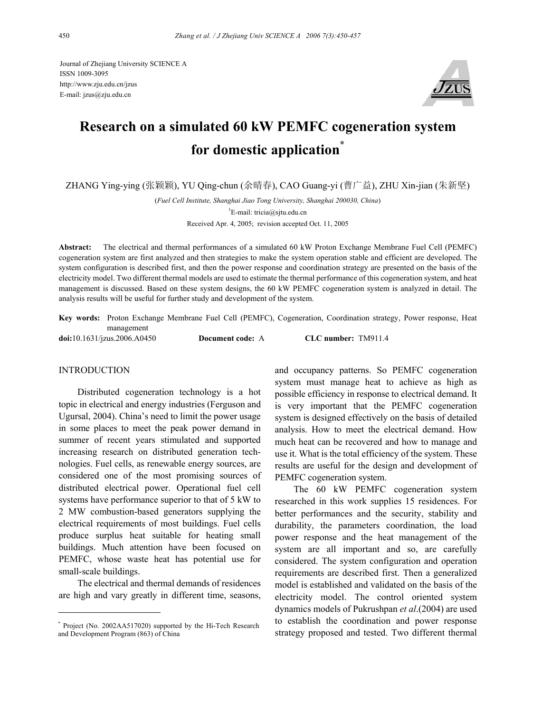Journal of Zhejiang University SCIENCE A ISSN 1009-3095 http://www.zju.edu.cn/jzus E-mail: jzus@zju.edu.cn



# **Research on a simulated 60 kW PEMFC cogeneration system for domestic application\***

ZHANG Ying-ying (张颖颖), YU Qing-chun (余晴春), CAO Guang-yi (曹广益), ZHU Xin-jian (朱新坚)

(*Fuel Cell Institute, Shanghai Jiao Tong University, Shanghai 200030, China*) † E-mail: tricia@sjtu.edu.cn Received Apr. 4, 2005; revision accepted Oct. 11, 2005

**Abstract:** The electrical and thermal performances of a simulated 60 kW Proton Exchange Membrane Fuel Cell (PEMFC) cogeneration system are first analyzed and then strategies to make the system operation stable and efficient are developed. The system configuration is described first, and then the power response and coordination strategy are presented on the basis of the electricity model. Two different thermal models are used to estimate the thermal performance of this cogeneration system, and heat management is discussed. Based on these system designs, the 60 kW PEMFC cogeneration system is analyzed in detail. The analysis results will be useful for further study and development of the system.

**Key words:** Proton Exchange Membrane Fuel Cell (PEMFC), Cogeneration, Coordination strategy, Power response, Heat management **doi:**10.1631/jzus.2006.A0450 **Document code:** A **CLC number:** TM911.4

## INTRODUCTION

Distributed cogeneration technology is a hot topic in electrical and energy industries (Ferguson and Ugursal, 2004). China's need to limit the power usage in some places to meet the peak power demand in summer of recent years stimulated and supported increasing research on distributed generation technologies. Fuel cells, as renewable energy sources, are considered one of the most promising sources of distributed electrical power. Operational fuel cell systems have performance superior to that of 5 kW to 2 MW combustion-based generators supplying the electrical requirements of most buildings. Fuel cells produce surplus heat suitable for heating small buildings. Much attention have been focused on PEMFC, whose waste heat has potential use for small-scale buildings.

The electrical and thermal demands of residences are high and vary greatly in different time, seasons,

and occupancy patterns. So PEMFC cogeneration system must manage heat to achieve as high as possible efficiency in response to electrical demand. It is very important that the PEMFC cogeneration system is designed effectively on the basis of detailed analysis. How to meet the electrical demand. How much heat can be recovered and how to manage and use it. What is the total efficiency of the system. These results are useful for the design and development of PEMFC cogeneration system.

The 60 kW PEMFC cogeneration system researched in this work supplies 15 residences. For better performances and the security, stability and durability, the parameters coordination, the load power response and the heat management of the system are all important and so, are carefully considered. The system configuration and operation requirements are described first. Then a generalized model is established and validated on the basis of the electricity model. The control oriented system dynamics models of Pukrushpan *et al*.(2004) are used to establish the coordination and power response strategy proposed and tested. Two different thermal

<sup>\*</sup> Project (No. 2002AA517020) supported by the Hi-Tech Research and Development Program (863) of China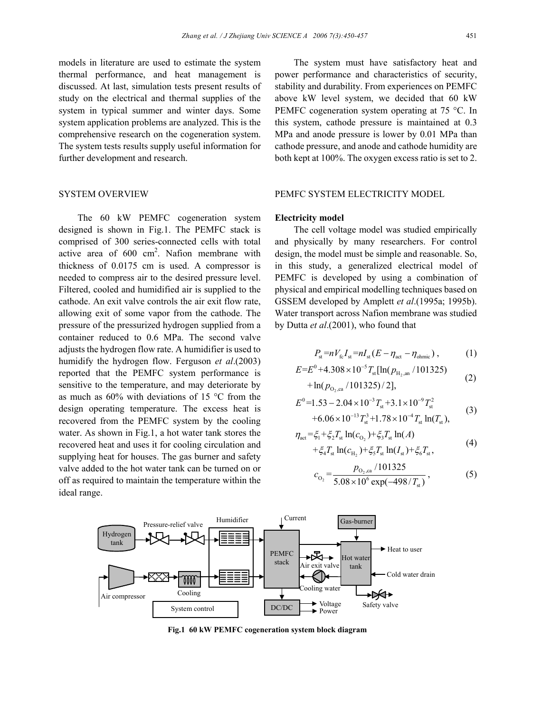models in literature are used to estimate the system thermal performance, and heat management is discussed. At last, simulation tests present results of study on the electrical and thermal supplies of the system in typical summer and winter days. Some system application problems are analyzed. This is the comprehensive research on the cogeneration system. The system tests results supply useful information for further development and research.

## SYSTEM OVERVIEW

The 60 kW PEMFC cogeneration system designed is shown in Fig.1. The PEMFC stack is comprised of 300 series-connected cells with total active area of  $600 \text{ cm}^2$ . Nafion membrane with thickness of 0.0175 cm is used. A compressor is needed to compress air to the desired pressure level. Filtered, cooled and humidified air is supplied to the cathode. An exit valve controls the air exit flow rate, allowing exit of some vapor from the cathode. The pressure of the pressurized hydrogen supplied from a container reduced to 0.6 MPa. The second valve adjusts the hydrogen flow rate. A humidifier is used to humidify the hydrogen flow. Ferguson *et al*.(2003) reported that the PEMFC system performance is sensitive to the temperature, and may deteriorate by as much as 60% with deviations of 15 °C from the design operating temperature. The excess heat is recovered from the PEMFC system by the cooling water. As shown in Fig.1, a hot water tank stores the recovered heat and uses it for cooling circulation and supplying heat for houses. The gas burner and safety valve added to the hot water tank can be turned on or off as required to maintain the temperature within the ideal range.

The system must have satisfactory heat and power performance and characteristics of security, stability and durability. From experiences on PEMFC above kW level system, we decided that 60 kW PEMFC cogeneration system operating at 75 °C. In this system, cathode pressure is maintained at 0.3 MPa and anode pressure is lower by 0.01 MPa than cathode pressure, and anode and cathode humidity are both kept at 100%. The oxygen excess ratio is set to 2.

## PEMFC SYSTEM ELECTRICITY MODEL

#### **Electricity model**

The cell voltage model was studied empirically and physically by many researchers. For control design, the model must be simple and reasonable. So, in this study, a generalized electrical model of PEMFC is developed by using a combination of physical and empirical modelling techniques based on GSSEM developed by Amplett *et al*.(1995a; 1995b). Water transport across Nafion membrane was studied by Dutta *et al*.(2001), who found that

$$
P_{\rm st} = nV_{\rm fc}I_{\rm st} = nI_{\rm st}(E - \eta_{\rm act} - \eta_{\rm ohmic}), \qquad (1)
$$

$$
E=E^{0}+4.308\times10^{-5}T_{\rm st}[\ln(p_{\rm H_{2},\rm am}/101325) +\ln(p_{\rm O_{2},\rm ca}/101325)/2],
$$
\n(2)

$$
E^{0}=1.53-2.04\times10^{-3}T_{st}+3.1\times10^{-9}T_{st}^{2}+6.06\times10^{-13}T_{st}^{3}+1.78\times10^{-4}T_{st}\ln(T_{st}),
$$
 (3)

$$
\eta_{\text{act}} = \xi_1 + \xi_2 T_{\text{st}} \ln(c_{\text{O}_2}) + \xi_3 T_{\text{st}} \ln(A) + \xi_4 T_{\text{st}} \ln(c_{\text{H}_2}) + \xi_5 T_{\text{st}} \ln(I_{\text{st}}) + \xi_6 T_{\text{st}},
$$
\n(4)

$$
c_{\text{O}_2} = \frac{p_{\text{O}_2,\text{ca}}/101325}{5.08 \times 10^6 \exp(-498/T_{\text{st}})},
$$
(5)



**Fig.1 60 kW PEMFC cogeneration system block diagram**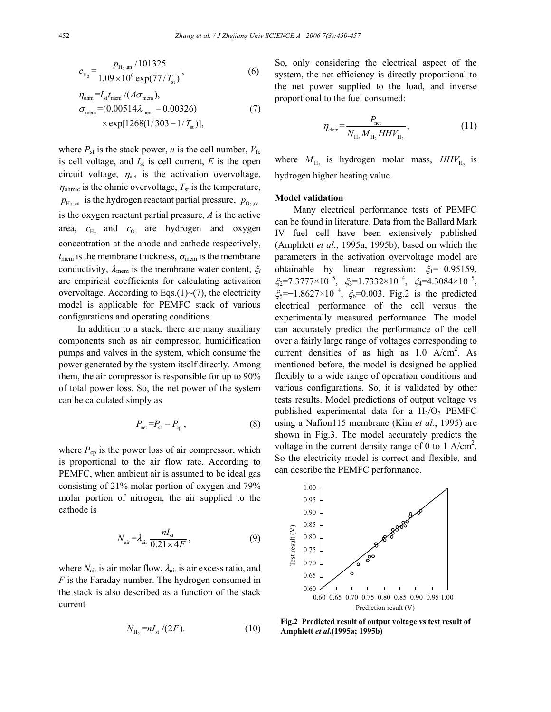$$
c_{\text{H}_2} = \frac{p_{\text{H}_2,\text{an}}/101325}{1.09 \times 10^6 \exp(77/T_{\text{st}})},
$$
(6)

$$
\eta_{\text{ohm}} = I_{\text{st}} t_{\text{mem}} / (A \sigma_{\text{mem}}),
$$
  
\n
$$
\sigma_{\text{mem}} = (0.00514 \lambda_{\text{mem}} - 0.00326)
$$
  
\n
$$
\times \exp[1268(1/303 - 1/T_{\text{st}})],
$$
\n(7)

where  $P_{\text{st}}$  is the stack power, *n* is the cell number,  $V_{\text{fc}}$ is cell voltage, and  $I_{st}$  is cell current,  $E$  is the open circuit voltage,  $\eta_{\text{act}}$  is the activation overvoltage,  $\eta_{\text{ohmic}}$  is the ohmic overvoltage,  $T_{\text{st}}$  is the temperature,  $p_{\text{H}_2, \text{an}}$  is the hydrogen reactant partial pressure,  $p_{\text{O}_2, \text{ca}}$ is the oxygen reactant partial pressure, *A* is the active area,  $c_{\text{H}_2}$  and  $c_{\text{O}_2}$  are hydrogen and oxygen concentration at the anode and cathode respectively,  $t_{\text{mem}}$  is the membrane thickness,  $\sigma_{\text{mem}}$  is the membrane conductivity, λmem is the membrane water content, ξ*<sup>i</sup>* are empirical coefficients for calculating activation overvoltage. According to Eqs. $(1)$  $\sim$  $(7)$ , the electricity model is applicable for PEMFC stack of various configurations and operating conditions.

In addition to a stack, there are many auxiliary components such as air compressor, humidification pumps and valves in the system, which consume the power generated by the system itself directly. Among them, the air compressor is responsible for up to 90% of total power loss. So, the net power of the system can be calculated simply as

$$
P_{\text{net}} = P_{\text{st}} - P_{\text{cp}} \,, \tag{8}
$$

where  $P_{\rm cp}$  is the power loss of air compressor, which is proportional to the air flow rate. According to PEMFC, when ambient air is assumed to be ideal gas consisting of 21% molar portion of oxygen and 79% molar portion of nitrogen, the air supplied to the cathode is

$$
N_{\text{air}} = \lambda_{\text{air}} \frac{nI_{\text{st}}}{0.21 \times 4F},\tag{9}
$$

where  $N_{\text{air}}$  is air molar flow,  $\lambda_{\text{air}}$  is air excess ratio, and *F* is the Faraday number. The hydrogen consumed in the stack is also described as a function of the stack current

$$
N_{\rm H_2} = n I_{\rm st} / (2F). \tag{10}
$$

So, only considering the electrical aspect of the system, the net efficiency is directly proportional to the net power supplied to the load, and inverse proportional to the fuel consumed:

$$
\eta_{\text{eletr}} = \frac{P_{\text{net}}}{N_{\text{H}_2} M_{\text{H}_2} H H V_{\text{H}_2}},\tag{11}
$$

where  $M_{\text{H}_2}$  is hydrogen molar mass,  $HHV_{\text{H}_2}$  is hydrogen higher heating value.

## **Model validation**

Many electrical performance tests of PEMFC can be found in literature. Data from the Ballard Mark IV fuel cell have been extensively published (Amphlett *et al.*, 1995a; 1995b), based on which the parameters in the activation overvoltage model are obtainable by linear regression:  $\xi_1 = -0.95159$ ,  $\xi_2$ =7.3777×10<sup>-5</sup>,  $\xi_3$ =1.7332×10<sup>-4</sup>,  $\xi_4$ =4.3084×10<sup>-5</sup>,  $\xi_5$ =−1.8627×10<sup>-4</sup>,  $\xi_6$ =0.003. Fig.2 is the predicted electrical performance of the cell versus the experimentally measured performance. The model can accurately predict the performance of the cell over a fairly large range of voltages corresponding to current densities of as high as  $1.0 \text{ A/cm}^2$ . As mentioned before, the model is designed be applied flexibly to a wide range of operation conditions and various configurations. So, it is validated by other tests results. Model predictions of output voltage vs published experimental data for a  $H_2/O_2$  PEMFC using a Nafion115 membrane (Kim *et al.*, 1995) are shown in Fig.3. The model accurately predicts the voltage in the current density range of 0 to 1 A/cm<sup>2</sup>. So the electricity model is correct and flexible, and can describe the PEMFC performance.



**Fig.2 Predicted result of output voltage vs test result of Amphlett** *et al***.(1995a; 1995b)**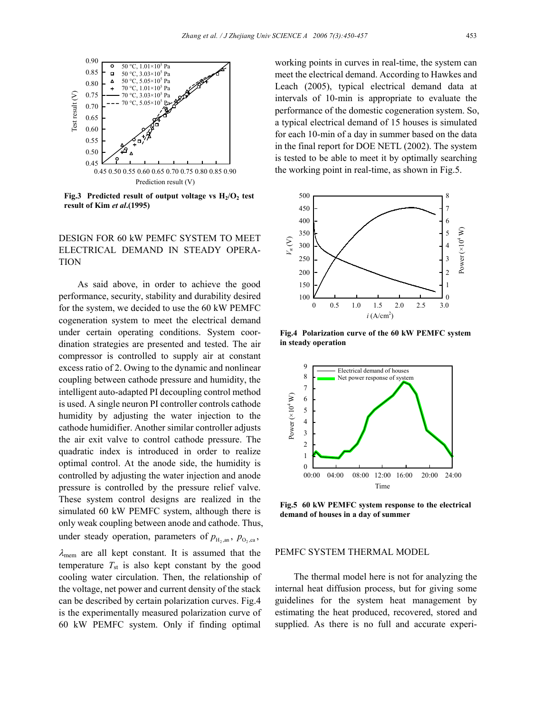

**Fig.3** Predicted result of output voltage vs  $H_2/O_2$  test **result of Kim** *et al***.(1995)** 

# DESIGN FOR 60 kW PEMFC SYSTEM TO MEET ELECTRICAL DEMAND IN STEADY OPERA-TION

As said above, in order to achieve the good performance, security, stability and durability desired for the system, we decided to use the 60 kW PEMFC cogeneration system to meet the electrical demand under certain operating conditions. System coordination strategies are presented and tested. The air compressor is controlled to supply air at constant excess ratio of 2. Owing to the dynamic and nonlinear coupling between cathode pressure and humidity, the intelligent auto-adapted PI decoupling control method is used. A single neuron PI controller controls cathode humidity by adjusting the water injection to the cathode humidifier. Another similar controller adjusts the air exit valve to control cathode pressure. The quadratic index is introduced in order to realize optimal control. At the anode side, the humidity is controlled by adjusting the water injection and anode pressure is controlled by the pressure relief valve. These system control designs are realized in the simulated 60 kW PEMFC system, although there is only weak coupling between anode and cathode. Thus, under steady operation, parameters of  $p_{H_{2},an}$ ,  $p_{O_{2},ca}$ ,  $\lambda_{\text{mem}}$  are all kept constant. It is assumed that the temperature  $T_{st}$  is also kept constant by the good cooling water circulation. Then, the relationship of

the voltage, net power and current density of the stack can be described by certain polarization curves. Fig.4 is the experimentally measured polarization curve of 60 kW PEMFC system. Only if finding optimal

working points in curves in real-time, the system can meet the electrical demand. According to Hawkes and Leach (2005), typical electrical demand data at intervals of 10-min is appropriate to evaluate the performance of the domestic cogeneration system. So, a typical electrical demand of 15 houses is simulated for each 10-min of a day in summer based on the data in the final report for DOE NETL (2002). The system is tested to be able to meet it by optimally searching the working point in real-time, as shown in Fig.5.



**Fig.4 Polarization curve of the 60 kW PEMFC system in steady operation**



**Fig.5 60 kW PEMFC system response to the electrical demand of houses in a day of summer**

### PEMFC SYSTEM THERMAL MODEL

The thermal model here is not for analyzing the internal heat diffusion process, but for giving some guidelines for the system heat management by estimating the heat produced, recovered, stored and supplied. As there is no full and accurate experi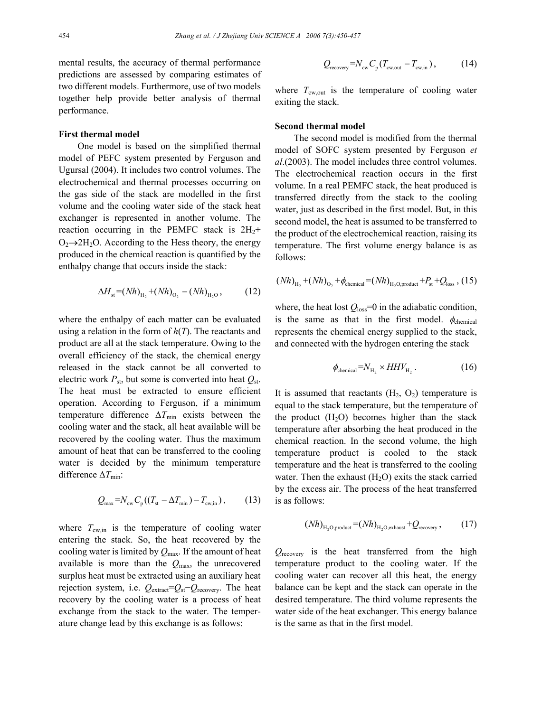mental results, the accuracy of thermal performance predictions are assessed by comparing estimates of two different models. Furthermore, use of two models together help provide better analysis of thermal performance.

#### **First thermal model**

One model is based on the simplified thermal model of PEFC system presented by Ferguson and Ugursal (2004). It includes two control volumes. The electrochemical and thermal processes occurring on the gas side of the stack are modelled in the first volume and the cooling water side of the stack heat exchanger is represented in another volume. The reaction occurring in the PEMFC stack is  $2H_2$ +  $O_2 \rightarrow 2H_2O$ . According to the Hess theory, the energy produced in the chemical reaction is quantified by the enthalpy change that occurs inside the stack:

$$
\Delta H_{\rm st} = (Nh)_{\rm H_2} + (Nh)_{\rm O_2} - (Nh)_{\rm H_2O},\tag{12}
$$

where the enthalpy of each matter can be evaluated using a relation in the form of *h*(*T*). The reactants and product are all at the stack temperature. Owing to the overall efficiency of the stack, the chemical energy released in the stack cannot be all converted to electric work  $P_{\text{st}}$ , but some is converted into heat  $Q_{\text{st}}$ . The heat must be extracted to ensure efficient operation. According to Ferguson, if a minimum temperature difference ∆*T*<sub>min</sub> exists between the cooling water and the stack, all heat available will be recovered by the cooling water. Thus the maximum amount of heat that can be transferred to the cooling water is decided by the minimum temperature difference ∆*T*<sub>min</sub>:

$$
Q_{\text{max}} = N_{\text{cw}} C_{\text{p}} \left( (T_{\text{st}} - \Delta T_{\text{min}}) - T_{\text{cw,in}} \right), \quad (13)
$$

where  $T_{\text{cw,in}}$  is the temperature of cooling water entering the stack. So, the heat recovered by the cooling water is limited by *Q*max. If the amount of heat available is more than the  $Q_{\text{max}}$ , the unrecovered surplus heat must be extracted using an auxiliary heat rejection system, i.e. *Q*extract=*Q*st−*Q*recovery. The heat recovery by the cooling water is a process of heat exchange from the stack to the water. The temperature change lead by this exchange is as follows:

$$
Q_{\text{recovery}} = N_{\text{cw}} C_{\text{p}} (T_{\text{cw,out}} - T_{\text{cw,in}}), \qquad (14)
$$

where  $T_{\text{cw,out}}$  is the temperature of cooling water exiting the stack.

#### **Second thermal model**

The second model is modified from the thermal model of SOFC system presented by Ferguson *et al*.(2003). The model includes three control volumes. The electrochemical reaction occurs in the first volume. In a real PEMFC stack, the heat produced is transferred directly from the stack to the cooling water, just as described in the first model. But, in this second model, the heat is assumed to be transferred to the product of the electrochemical reaction, raising its temperature. The first volume energy balance is as follows:

$$
(Nh)_{H_2}
$$
 +  $(Nh)_{O_2}$  +  $\phi_{chemical}$  =  $(Nh)_{H_2O,product}$  +  $P_{st}$  +  $Q_{loss}$ , (15)

where, the heat lost  $Q_{loss} = 0$  in the adiabatic condition, is the same as that in the first model.  $\phi_{\text{chemical}}$ represents the chemical energy supplied to the stack, and connected with the hydrogen entering the stack

$$
\phi_{\text{chemical}} = N_{\text{H}_2} \times HHV_{\text{H}_2} \,. \tag{16}
$$

It is assumed that reactants  $(H_2, O_2)$  temperature is equal to the stack temperature, but the temperature of the product  $(H<sub>2</sub>O)$  becomes higher than the stack temperature after absorbing the heat produced in the chemical reaction. In the second volume, the high temperature product is cooled to the stack temperature and the heat is transferred to the cooling water. Then the exhaust  $(H<sub>2</sub>O)$  exits the stack carried by the excess air. The process of the heat transferred is as follows:

$$
(Nh)_{\text{H}_2\text{O},\text{product}} = (Nh)_{\text{H}_2\text{O},\text{exhaust}} + Q_{\text{recovery}}\,,\tag{17}
$$

*Q*recovery is the heat transferred from the high temperature product to the cooling water. If the cooling water can recover all this heat, the energy balance can be kept and the stack can operate in the desired temperature. The third volume represents the water side of the heat exchanger. This energy balance is the same as that in the first model.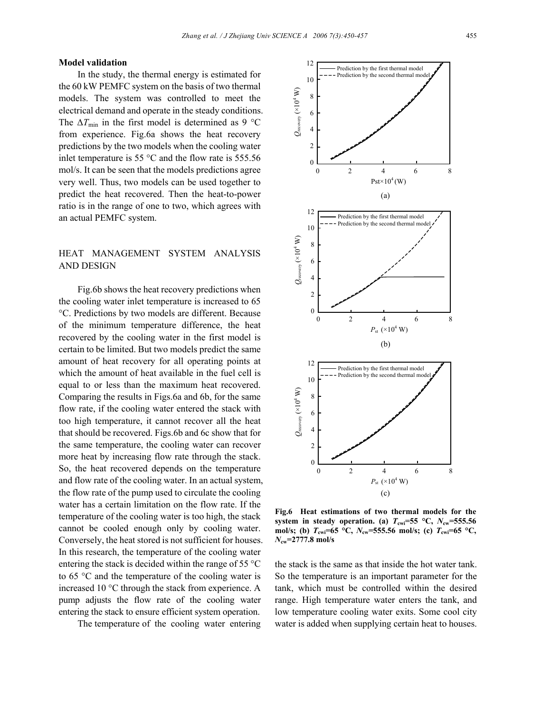#### **Model validation**

In the study, the thermal energy is estimated for the 60 kW PEMFC system on the basis of two thermal models. The system was controlled to meet the electrical demand and operate in the steady conditions. The  $\Delta T_{\text{min}}$  in the first model is determined as 9 °C from experience. Fig.6a shows the heat recovery predictions by the two models when the cooling water inlet temperature is 55 $\degree$ C and the flow rate is 555.56 mol/s. It can be seen that the models predictions agree very well. Thus, two models can be used together to predict the heat recovered. Then the heat-to-power ratio is in the range of one to two, which agrees with an actual PEMFC system.

# HEAT MANAGEMENT SYSTEM ANALYSIS AND DESIGN

Fig.6b shows the heat recovery predictions when the cooling water inlet temperature is increased to 65 °C. Predictions by two models are different. Because of the minimum temperature difference, the heat recovered by the cooling water in the first model is certain to be limited. But two models predict the same amount of heat recovery for all operating points at which the amount of heat available in the fuel cell is equal to or less than the maximum heat recovered. Comparing the results in Figs.6a and 6b, for the same flow rate, if the cooling water entered the stack with too high temperature, it cannot recover all the heat that should be recovered. Figs.6b and 6c show that for the same temperature, the cooling water can recover more heat by increasing flow rate through the stack. So, the heat recovered depends on the temperature and flow rate of the cooling water. In an actual system, the flow rate of the pump used to circulate the cooling water has a certain limitation on the flow rate. If the temperature of the cooling water is too high, the stack cannot be cooled enough only by cooling water. Conversely, the heat stored is not sufficient for houses. In this research, the temperature of the cooling water entering the stack is decided within the range of 55 °C to 65 °C and the temperature of the cooling water is increased 10 °C through the stack from experience. A pump adjusts the flow rate of the cooling water entering the stack to ensure efficient system operation.

The temperature of the cooling water entering



**Fig.6 Heat estimations of two thermal models for the system in steady operation.** (a)  $T_{\text{cwi}}=55 \text{ °C}$ ,  $N_{\text{cwi}}=555.56$ **mol/s; (b)** *T***cwi=65 °C,** *N***cw=555.56 mol/s; (c)** *T***cwi=65 °C,** *N***cw=2777.8 mol/s** 

the stack is the same as that inside the hot water tank. So the temperature is an important parameter for the tank, which must be controlled within the desired range. High temperature water enters the tank, and low temperature cooling water exits. Some cool city water is added when supplying certain heat to houses.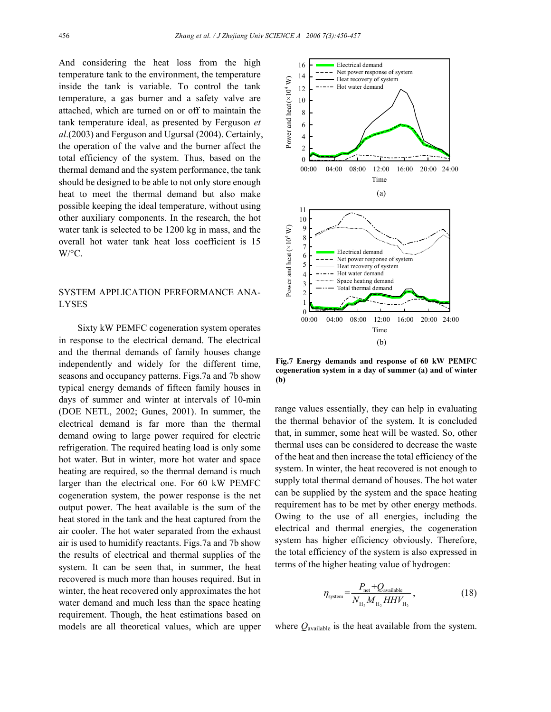And considering the heat loss from the high temperature tank to the environment, the temperature inside the tank is variable. To control the tank temperature, a gas burner and a safety valve are attached, which are turned on or off to maintain the tank temperature ideal, as presented by Ferguson *et al*.(2003) and Ferguson and Ugursal (2004). Certainly, the operation of the valve and the burner affect the total efficiency of the system. Thus, based on the thermal demand and the system performance, the tank should be designed to be able to not only store enough heat to meet the thermal demand but also make possible keeping the ideal temperature, without using other auxiliary components. In the research, the hot water tank is selected to be 1200 kg in mass, and the overall hot water tank heat loss coefficient is 15  $W$ <sup>o</sup>C.

# SYSTEM APPLICATION PERFORMANCE ANA-LYSES

Sixty kW PEMFC cogeneration system operates in response to the electrical demand. The electrical and the thermal demands of family houses change independently and widely for the different time, seasons and occupancy patterns. Figs.7a and 7b show typical energy demands of fifteen family houses in days of summer and winter at intervals of 10-min (DOE NETL, 2002; Gunes, 2001). In summer, the electrical demand is far more than the thermal demand owing to large power required for electric refrigeration. The required heating load is only some hot water. But in winter, more hot water and space heating are required, so the thermal demand is much larger than the electrical one. For 60 kW PEMFC cogeneration system, the power response is the net output power. The heat available is the sum of the heat stored in the tank and the heat captured from the air cooler. The hot water separated from the exhaust air is used to humidify reactants. Figs.7a and 7b show the results of electrical and thermal supplies of the system. It can be seen that, in summer, the heat recovered is much more than houses required. But in winter, the heat recovered only approximates the hot water demand and much less than the space heating requirement. Though, the heat estimations based on models are all theoretical values, which are upper



**Fig.7 Energy demands and response of 60 kW PEMFC cogeneration system in a day of summer (a) and of winter (b)**

range values essentially, they can help in evaluating the thermal behavior of the system. It is concluded that, in summer, some heat will be wasted. So, other thermal uses can be considered to decrease the waste of the heat and then increase the total efficiency of the system. In winter, the heat recovered is not enough to supply total thermal demand of houses. The hot water can be supplied by the system and the space heating requirement has to be met by other energy methods. Owing to the use of all energies, including the electrical and thermal energies, the cogeneration system has higher efficiency obviously. Therefore, the total efficiency of the system is also expressed in terms of the higher heating value of hydrogen:

$$
\eta_{\text{system}} = \frac{P_{\text{net}} + Q_{\text{available}}}{N_{\text{H}_2} M_{\text{H}_2} H H V_{\text{H}_2}},\tag{18}
$$

where *Q*available is the heat available from the system.